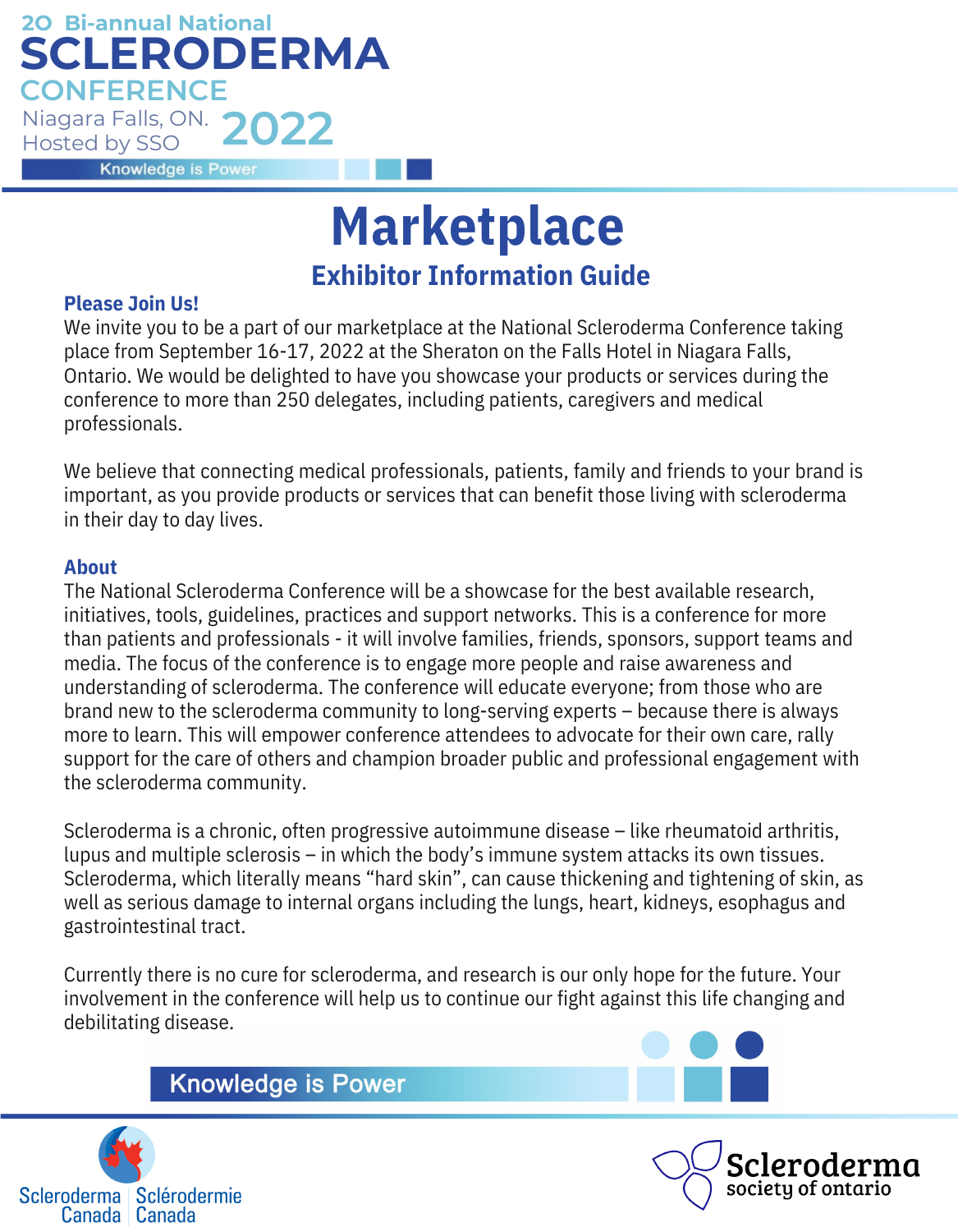**SCLERODERMA 2O Bi-annual National CONFERENCE** Niagara Falls, ON. Hosted by SSO **2022**

**Knowledge is Power** 

# **Exhibitor Information Guide Marketplace**

#### **Please Join Us!**

We invite you to be a part of our marketplace at the National Scleroderma Conference taking place from September 16-17, 2022 at the Sheraton on the Falls Hotel in Niagara Falls, Ontario. We would be delighted to have you showcase your products or services during the conference to more than 250 delegates, including patients, caregivers and medical professionals.

We believe that connecting medical professionals, patients, family and friends to your brand is important, as you provide products or services that can benefit those living with scleroderma in their day to day lives.

# **About**

The National Scleroderma Conference will be a showcase for the best available research, initiatives, tools, guidelines, practices and support networks. This is a conference for more than patients and professionals - it will involve families, friends, sponsors, support teams and media. The focus of the conference is to engage more people and raise awareness and understanding of scleroderma. The conference will educate everyone; from those who are brand new to the scleroderma community to long-serving experts – because there is always more to learn. This will empower conference attendees to advocate for their own care, rally support for the care of others and champion broader public and professional engagement with the scleroderma community.

Scleroderma is a chronic, often progressive autoimmune disease – like rheumatoid arthritis, lupus and multiple sclerosis – in which the body's immune system attacks its own tissues. Scleroderma, which literally means "hard skin", can cause thickening and tightening of skin, as well as serious damage to internal organs including the lungs, heart, kidneys, esophagus and gastrointestinal tract.

Currently there is no cure for scleroderma, and research is our only hope for the future. Your involvement in the conference will help us to continue our fight against this life changing and debilitating disease.

**Knowledge is Power** 





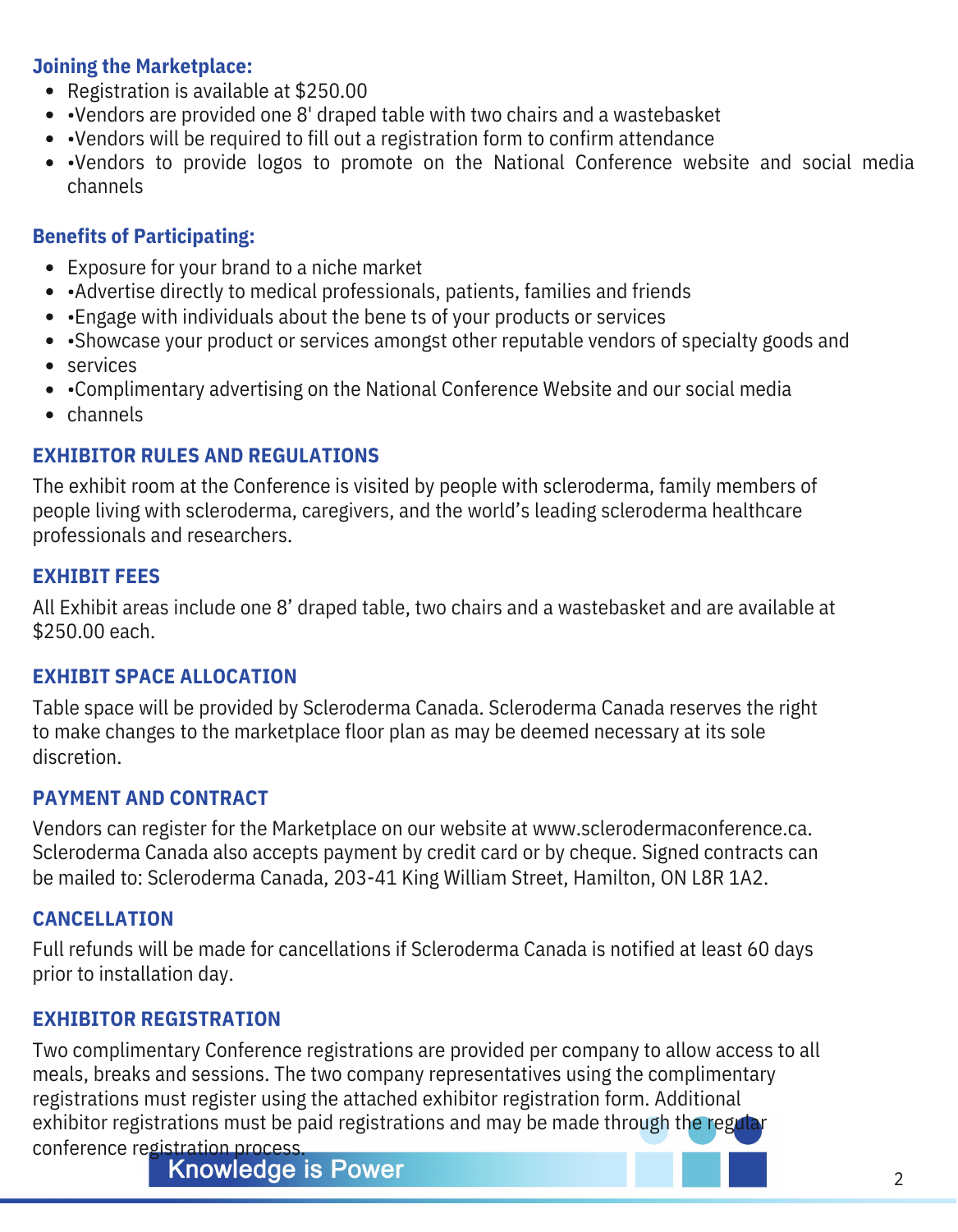# **Joining the Marketplace:**

- Registration is available at \$250.00
- •Vendors are provided one 8' draped table with two chairs and a wastebasket
- •Vendors will be required to fill out a registration form to confirm attendance
- •Vendors to provide logos to promote on the National Conference website and social media channels

# **Benefits of Participating:**

- Exposure for your brand to a niche market
- •Advertise directly to medical professionals, patients, families and friends
- •Engage with individuals about the bene ts of your products or services
- • Showcase your product or services amongst other reputable vendors of specialty goods and
- services
- •Complimentary advertising on the National Conference Website and our social media
- channels

# **EXHIBITOR RULES AND REGULATIONS**

The exhibit room at the Conference is visited by people with scleroderma, family members of people living with scleroderma, caregivers, and the world's leading scleroderma healthcare professionals and researchers.

# **EXHIBIT FEES**

All Exhibit areas include one 8' draped table, two chairs and a wastebasket and are available at \$250.00 each.

# **EXHIBIT SPACE ALLOCATION**

Table space will be provided by Scleroderma Canada. Scleroderma Canada reserves the right to make changes to the marketplace floor plan as may be deemed necessary at its sole discretion.

# **PAYMENT AND CONTRACT**

Vendors can register for the Marketplace on our website at www.sclerodermaconference.ca. Scleroderma Canada also accepts payment by credit card or by cheque. Signed contracts can be mailed to: Scleroderma Canada, 203-41 King William Street, Hamilton, ON L8R 1A2.

# **CANCELLATION**

Full refunds will be made for cancellations if Scleroderma Canada is notified at least 60 days prior to installation day.

# **EXHIBITOR REGISTRATION**

Two complimentary Conference registrations are provided per company to allow access to all meals, breaks and sessions. The two company representatives using the complimentary registrations must register using the attached exhibitor registration form. Additional exhibitor registrations must be paid registrations and may be made through the regular conference registration process.<br>Knowledge is Power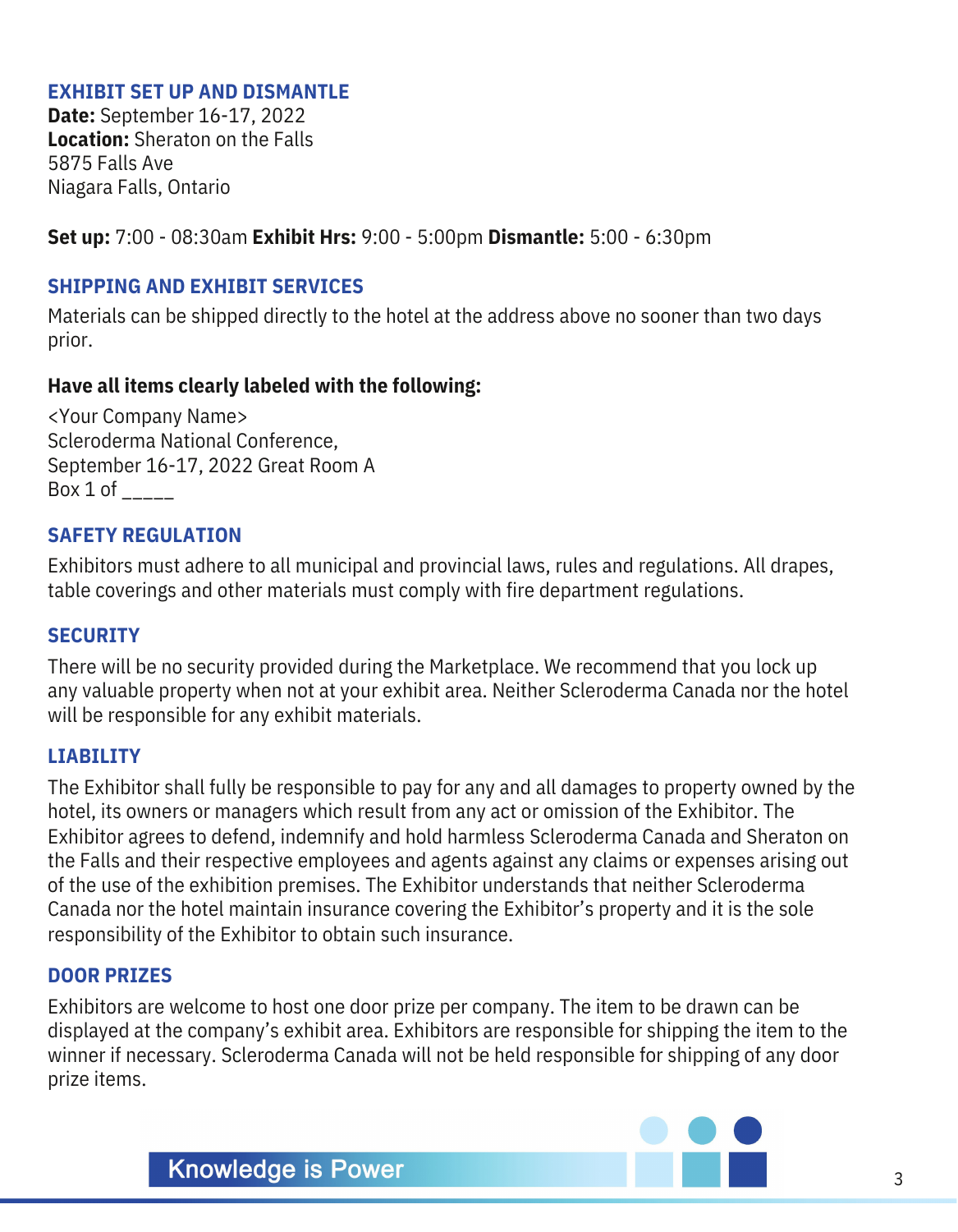# **EXHIBIT SET UP AND DISMANTLE**

**Date:** September 16-17, 2022 **Location:** Sheraton on the Falls 5875 Falls Ave Niagara Falls, Ontario

**Set up:** 7:00 - 08:30am **Exhibit Hrs:** 9:00 - 5:00pm **Dismantle:** 5:00 - 6:30pm

#### **SHIPPING AND EXHIBIT SERVICES**

Materials can be shipped directly to the hotel at the address above no sooner than two days prior.

#### **Have all items clearly labeled with the following:**

<Your Company Name> Scleroderma National Conference, September 16-17, 2022 Great Room A Box 1 of \_\_\_\_\_

#### **SAFETY REGULATION**

Exhibitors must adhere to all municipal and provincial laws, rules and regulations. All drapes, table coverings and other materials must comply with fire department regulations.

#### **SECURITY**

There will be no security provided during the Marketplace. We recommend that you lock up any valuable property when not at your exhibit area. Neither Scleroderma Canada nor the hotel will be responsible for any exhibit materials.

#### **LIABILITY**

The Exhibitor shall fully be responsible to pay for any and all damages to property owned by the hotel, its owners or managers which result from any act or omission of the Exhibitor. The Exhibitor agrees to defend, indemnify and hold harmless Scleroderma Canada and Sheraton on the Falls and their respective employees and agents against any claims or expenses arising out of the use of the exhibition premises. The Exhibitor understands that neither Scleroderma Canada nor the hotel maintain insurance covering the Exhibitor's property and it is the sole responsibility of the Exhibitor to obtain such insurance.

#### **DOOR PRIZES**

Exhibitors are welcome to host one door prize per company. The item to be drawn can be displayed at the company's exhibit area. Exhibitors are responsible for shipping the item to the winner if necessary. Scleroderma Canada will not be held responsible for shipping of any door prize items.



**Knowledge is Power**